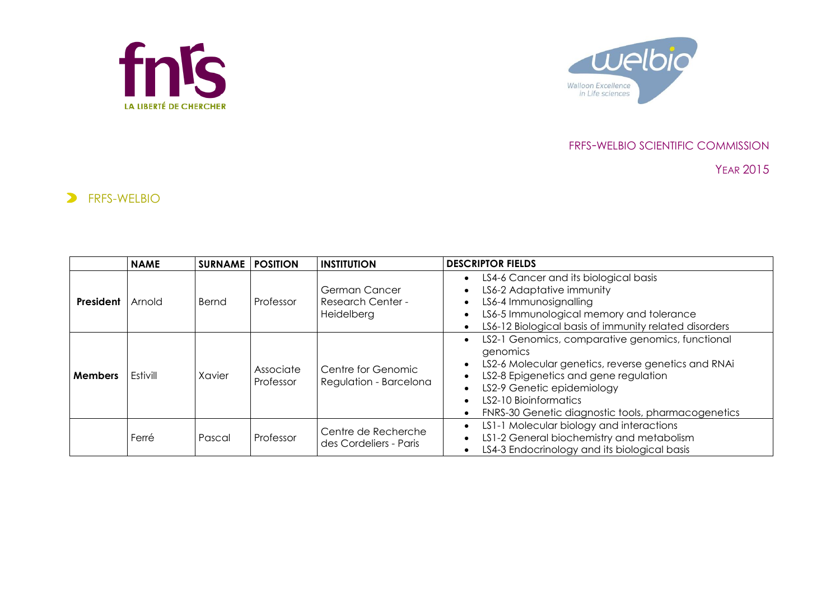



## FRFS-WELBIO SCIENTIFIC COMMISSION

YEAR 2015

## **ERFS-WELBIO**

|                | <b>NAME</b> | <b>SURNAME</b> | <b>POSITION</b>        | <b>INSTITUTION</b>                                      | <b>DESCRIPTOR FIELDS</b>                                                                                                                                                                                                                                                  |
|----------------|-------------|----------------|------------------------|---------------------------------------------------------|---------------------------------------------------------------------------------------------------------------------------------------------------------------------------------------------------------------------------------------------------------------------------|
| President      | Arnold      | Bernd          | Professor              | German Cancer<br><b>Research Center -</b><br>Heidelberg | LS4-6 Cancer and its biological basis<br>LS6-2 Adaptative immunity<br>LS6-4 Immunosignalling<br>LS6-5 Immunological memory and tolerance<br>LS6-12 Biological basis of immunity related disorders                                                                         |
| <b>Members</b> | Estivill    | Xavier         | Associate<br>Professor | Centre for Genomic<br>Regulation - Barcelona            | LS2-1 Genomics, comparative genomics, functional<br>genomics<br>LS2-6 Molecular genetics, reverse genetics and RNAi<br>LS2-8 Epigenetics and gene regulation<br>LS2-9 Genetic epidemiology<br>LS2-10 Bioinformatics<br>FNRS-30 Genetic diagnostic tools, pharmacogenetics |
|                | Ferré       | Pascal         | Professor              | Centre de Recherche<br>des Cordeliers - Paris           | LS1-1 Molecular biology and interactions<br>LS1-2 General biochemistry and metabolism<br>LS4-3 Endocrinology and its biological basis                                                                                                                                     |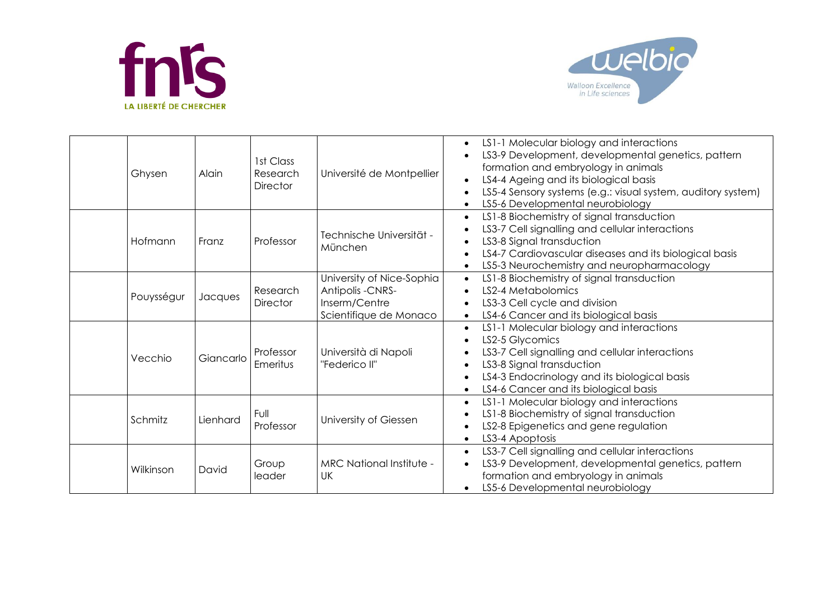



| Ghysen     | Alain     | 1st Class<br>Research<br><b>Director</b> | Université de Montpellier                                                                       | LS1-1 Molecular biology and interactions<br>$\bullet$<br>LS3-9 Development, developmental genetics, pattern<br>formation and embryology in animals<br>LS4-4 Ageing and its biological basis<br>$\bullet$<br>LS5-4 Sensory systems (e.g.: visual system, auditory system)<br>LS5-6 Developmental neurobiology<br>$\bullet$ |
|------------|-----------|------------------------------------------|-------------------------------------------------------------------------------------------------|---------------------------------------------------------------------------------------------------------------------------------------------------------------------------------------------------------------------------------------------------------------------------------------------------------------------------|
| Hofmann    | Franz     | Professor                                | Technische Universität -<br>München                                                             | LS1-8 Biochemistry of signal transduction<br>$\bullet$<br>LS3-7 Cell signalling and cellular interactions<br>LS3-8 Signal transduction<br>LS4-7 Cardiovascular diseases and its biological basis<br>LS5-3 Neurochemistry and neuropharmacology<br>$\bullet$                                                               |
| Pouysségur | Jacques   | Research<br><b>Director</b>              | University of Nice-Sophia<br><b>Antipolis -CNRS-</b><br>Inserm/Centre<br>Scientifique de Monaco | LS1-8 Biochemistry of signal transduction<br>$\bullet$<br>LS2-4 Metabolomics<br>$\bullet$<br>LS3-3 Cell cycle and division<br>LS4-6 Cancer and its biological basis<br>$\bullet$                                                                                                                                          |
| Vecchio    | Giancarlo | Professor<br>Emeritus                    | Università di Napoli<br>"Federico II"                                                           | LS1-1 Molecular biology and interactions<br>$\bullet$<br>LS2-5 Glycomics<br>LS3-7 Cell signalling and cellular interactions<br>LS3-8 Signal transduction<br>LS4-3 Endocrinology and its biological basis<br>LS4-6 Cancer and its biological basis                                                                         |
| Schmitz    | Lienhard  | Full<br>Professor                        | University of Giessen                                                                           | LS1-1 Molecular biology and interactions<br>$\bullet$<br>LS1-8 Biochemistry of signal transduction<br>LS2-8 Epigenetics and gene regulation<br>LS3-4 Apoptosis<br>$\bullet$                                                                                                                                               |
| Wilkinson  | David     | Group<br>leader                          | <b>MRC National Institute -</b><br>UK                                                           | LS3-7 Cell signalling and cellular interactions<br>$\bullet$<br>LS3-9 Development, developmental genetics, pattern<br>$\bullet$<br>formation and embryology in animals<br>LS5-6 Developmental neurobiology<br>$\bullet$                                                                                                   |